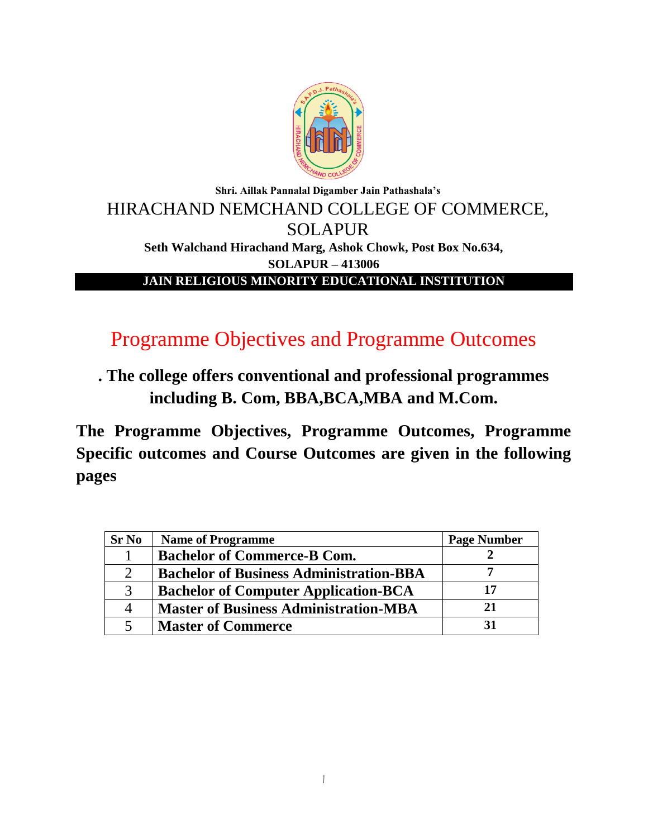

# **Shri. Aillak Pannalal Digamber Jain Pathashala's** HIRACHAND NEMCHAND COLLEGE OF COMMERCE, SOLAPUR **Seth Walchand Hirachand Marg, Ashok Chowk, Post Box No.634, SOLAPUR – 413006 JAIN RELIGIOUS MINORITY EDUCATIONAL INSTITUTION**

# Programme Objectives and Programme Outcomes

**. The college offers conventional and professional programmes including B. Com, BBA,BCA,MBA and M.Com.**

**The Programme Objectives, Programme Outcomes, Programme Specific outcomes and Course Outcomes are given in the following pages**

| <b>Sr No</b> | <b>Name of Programme</b>                       | <b>Page Number</b> |
|--------------|------------------------------------------------|--------------------|
|              | <b>Bachelor of Commerce-B Com.</b>             |                    |
|              | <b>Bachelor of Business Administration-BBA</b> |                    |
| 3            | <b>Bachelor of Computer Application-BCA</b>    | 17                 |
| 4            | <b>Master of Business Administration-MBA</b>   | 21                 |
|              | <b>Master of Commerce</b>                      | 31                 |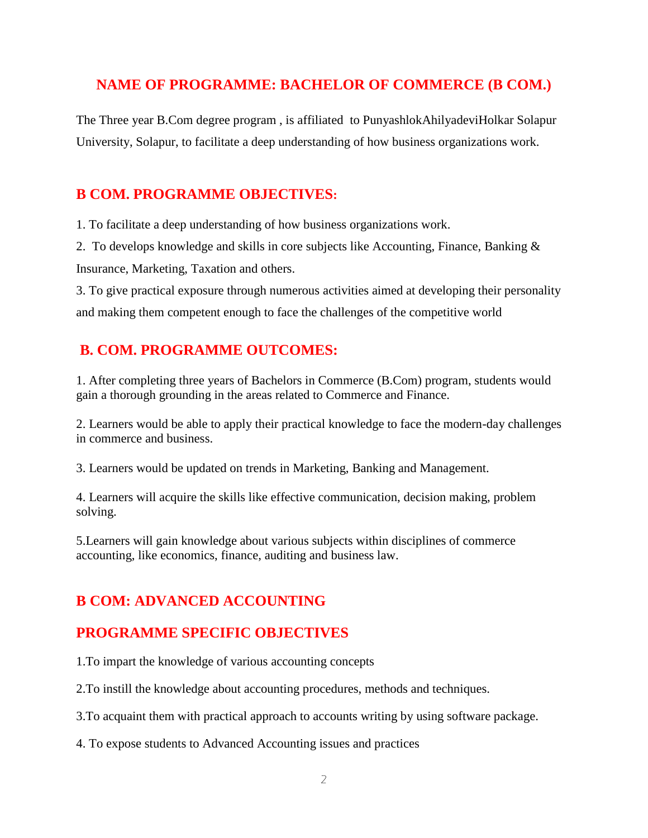## **NAME OF PROGRAMME: BACHELOR OF COMMERCE (B COM.)**

The Three year B.Com degree program , is affiliated to PunyashlokAhilyadeviHolkar Solapur University, Solapur, to facilitate a deep understanding of how business organizations work.

## **B COM. PROGRAMME OBJECTIVES:**

1. To facilitate a deep understanding of how business organizations work.

2. To develops knowledge and skills in core subjects like Accounting, Finance, Banking & Insurance, Marketing, Taxation and others.

3. To give practical exposure through numerous activities aimed at developing their personality and making them competent enough to face the challenges of the competitive world

# **B. COM. PROGRAMME OUTCOMES:**

1. After completing three years of Bachelors in Commerce (B.Com) program, students would gain a thorough grounding in the areas related to Commerce and Finance.

2. Learners would be able to apply their practical knowledge to face the modern-day challenges in commerce and business.

3. Learners would be updated on trends in Marketing, Banking and Management.

4. Learners will acquire the skills like effective communication, decision making, problem solving.

5.Learners will gain knowledge about various subjects within disciplines of commerce accounting, like economics, finance, auditing and business law.

# **B COM: ADVANCED ACCOUNTING**

# **PROGRAMME SPECIFIC OBJECTIVES**

1.To impart the knowledge of various accounting concepts

2.To instill the knowledge about accounting procedures, methods and techniques.

3.To acquaint them with practical approach to accounts writing by using software package.

4. To expose students to Advanced Accounting issues and practices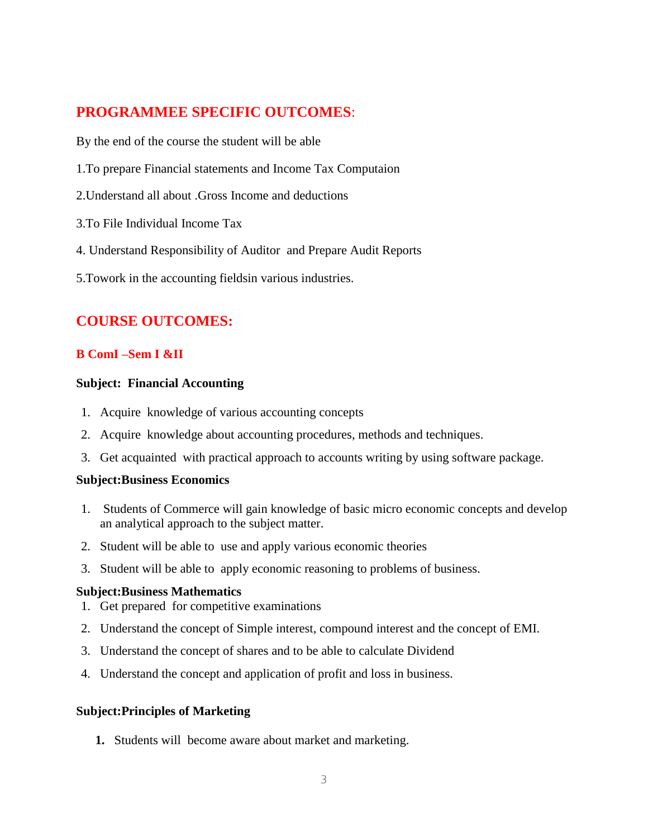## **PROGRAMMEE SPECIFIC OUTCOMES**:

By the end of the course the student will be able

- 1.To prepare Financial statements and Income Tax Computaion
- 2.Understand all about .Gross Income and deductions
- 3.To File Individual Income Tax
- 4. Understand Responsibility of Auditor and Prepare Audit Reports
- 5.Towork in the accounting fieldsin various industries.

## **COURSE OUTCOMES:**

## **B ComI –Sem I &II**

## **Subject: Financial Accounting**

- 1. Acquire knowledge of various accounting concepts
- 2. Acquire knowledge about accounting procedures, methods and techniques.
- 3. Get acquainted with practical approach to accounts writing by using software package.

## **Subject:Business Economics**

- 1. Students of Commerce will gain knowledge of basic micro economic concepts and develop an analytical approach to the subject matter.
- 2. Student will be able to use and apply various economic theories
- 3. Student will be able to apply economic reasoning to problems of business.

## **Subject:Business Mathematics**

- 1. Get prepared for competitive examinations
- 2. Understand the concept of Simple interest, compound interest and the concept of EMI.
- 3. Understand the concept of shares and to be able to calculate Dividend
- 4. Understand the concept and application of profit and loss in business.

## **Subject:Principles of Marketing**

**1.** Students will become aware about market and marketing.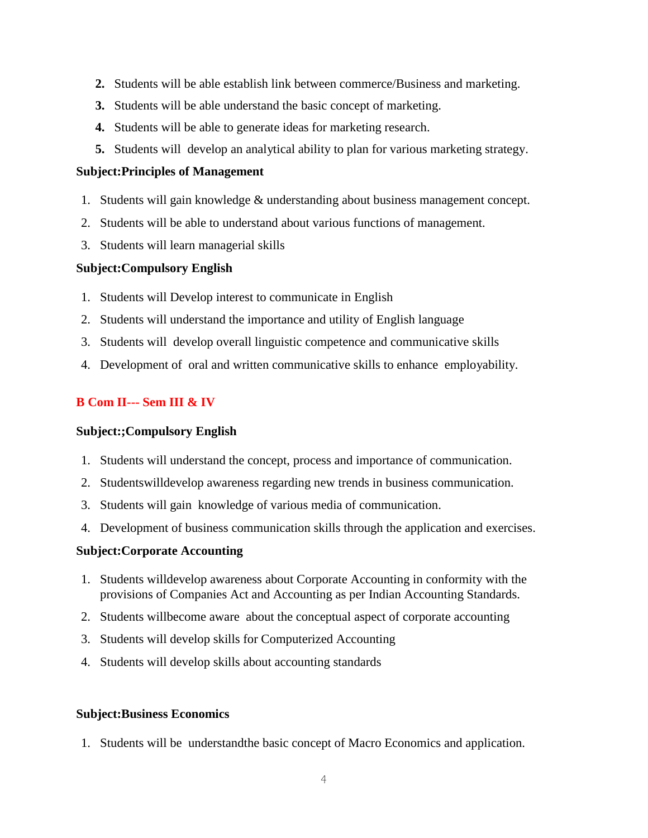- **2.** Students will be able establish link between commerce/Business and marketing.
- **3.** Students will be able understand the basic concept of marketing.
- **4.** Students will be able to generate ideas for marketing research.
- **5.** Students will develop an analytical ability to plan for various marketing strategy.

## **Subject:Principles of Management**

- 1. Students will gain knowledge & understanding about business management concept.
- 2. Students will be able to understand about various functions of management.
- 3. Students will learn managerial skills

## **Subject:Compulsory English**

- 1. Students will Develop interest to communicate in English
- 2. Students will understand the importance and utility of English language
- 3. Students will develop overall linguistic competence and communicative skills
- 4. Development of oral and written communicative skills to enhance employability.

## **B Com II--- Sem III & IV**

## **Subject:;Compulsory English**

- 1. Students will understand the concept, process and importance of communication.
- 2. Studentswilldevelop awareness regarding new trends in business communication.
- 3. Students will gain knowledge of various media of communication.
- 4. Development of business communication skills through the application and exercises.

## **Subject:Corporate Accounting**

- 1. Students willdevelop awareness about Corporate Accounting in conformity with the provisions of Companies Act and Accounting as per Indian Accounting Standards.
- 2. Students willbecome aware about the conceptual aspect of corporate accounting
- 3. Students will develop skills for Computerized Accounting
- 4. Students will develop skills about accounting standards

## **Subject:Business Economics**

1. Students will be understandthe basic concept of Macro Economics and application.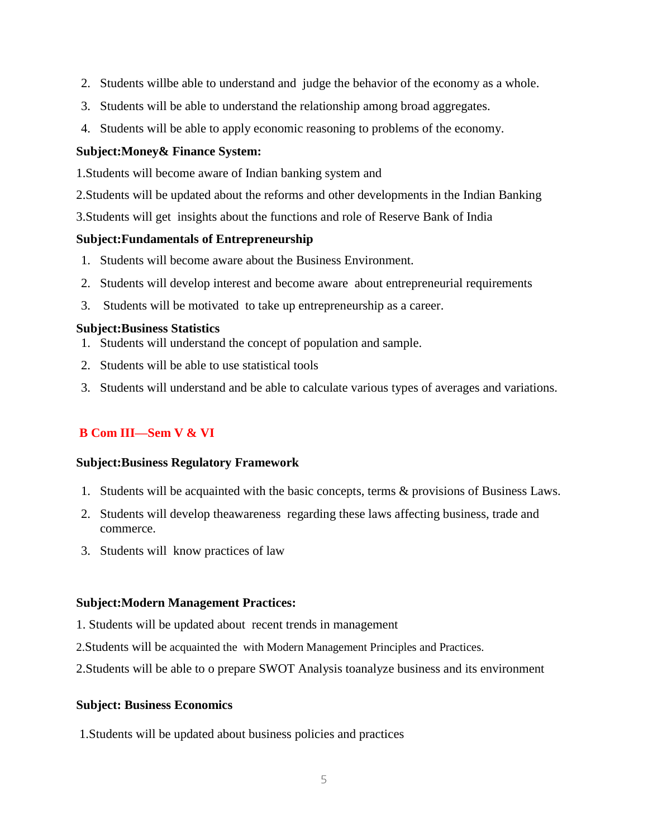- 2. Students willbe able to understand and judge the behavior of the economy as a whole.
- 3. Students will be able to understand the relationship among broad aggregates.
- 4. Students will be able to apply economic reasoning to problems of the economy.

## **Subject:Money& Finance System:**

1.Students will become aware of Indian banking system and

- 2.Students will be updated about the reforms and other developments in the Indian Banking
- 3.Students will get insights about the functions and role of Reserve Bank of India

## **Subject:Fundamentals of Entrepreneurship**

- 1. Students will become aware about the Business Environment.
- 2. Students will develop interest and become aware about entrepreneurial requirements
- 3. Students will be motivated to take up entrepreneurship as a career.

## **Subject:Business Statistics**

- 1. Students will understand the concept of population and sample.
- 2. Students will be able to use statistical tools
- 3. Students will understand and be able to calculate various types of averages and variations.

## **B Com III—Sem V & VI**

## **Subject:Business Regulatory Framework**

- 1. Students will be acquainted with the basic concepts, terms & provisions of Business Laws.
- 2. Students will develop theawareness regarding these laws affecting business, trade and commerce.
- 3. Students will know practices of law

## **Subject:Modern Management Practices:**

- 1. Students will be updated about recent trends in management
- 2.Students will be acquainted the with Modern Management Principles and Practices.

2.Students will be able to o prepare SWOT Analysis toanalyze business and its environment

## **Subject: Business Economics**

1.Students will be updated about business policies and practices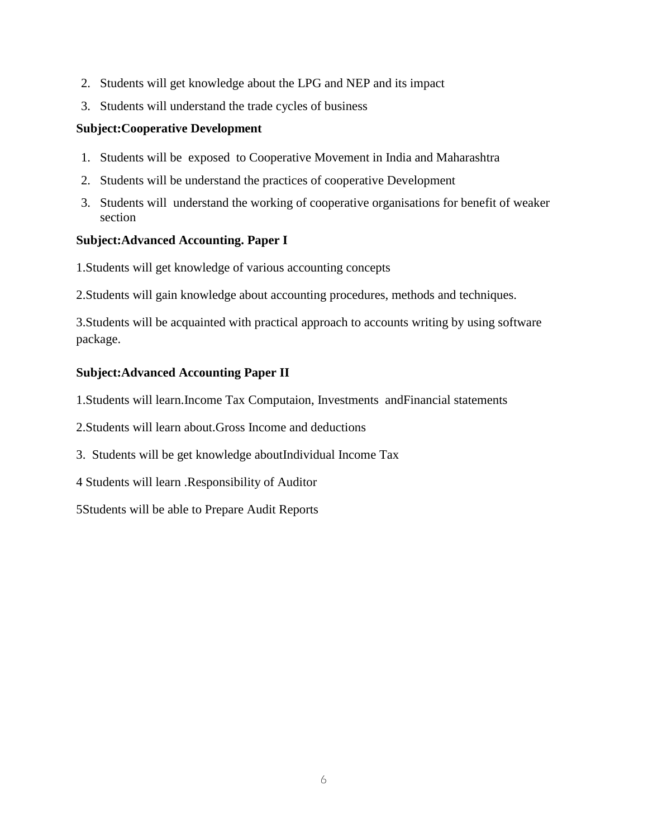- 2. Students will get knowledge about the LPG and NEP and its impact
- 3. Students will understand the trade cycles of business

## **Subject:Cooperative Development**

- 1. Students will be exposed to Cooperative Movement in India and Maharashtra
- 2. Students will be understand the practices of cooperative Development
- 3. Students will understand the working of cooperative organisations for benefit of weaker section

## **Subject:Advanced Accounting. Paper I**

1.Students will get knowledge of various accounting concepts

2.Students will gain knowledge about accounting procedures, methods and techniques.

3.Students will be acquainted with practical approach to accounts writing by using software package.

## **Subject:Advanced Accounting Paper II**

1.Students will learn.Income Tax Computaion, Investments andFinancial statements

2.Students will learn about.Gross Income and deductions

3. Students will be get knowledge aboutIndividual Income Tax

4 Students will learn .Responsibility of Auditor

5Students will be able to Prepare Audit Reports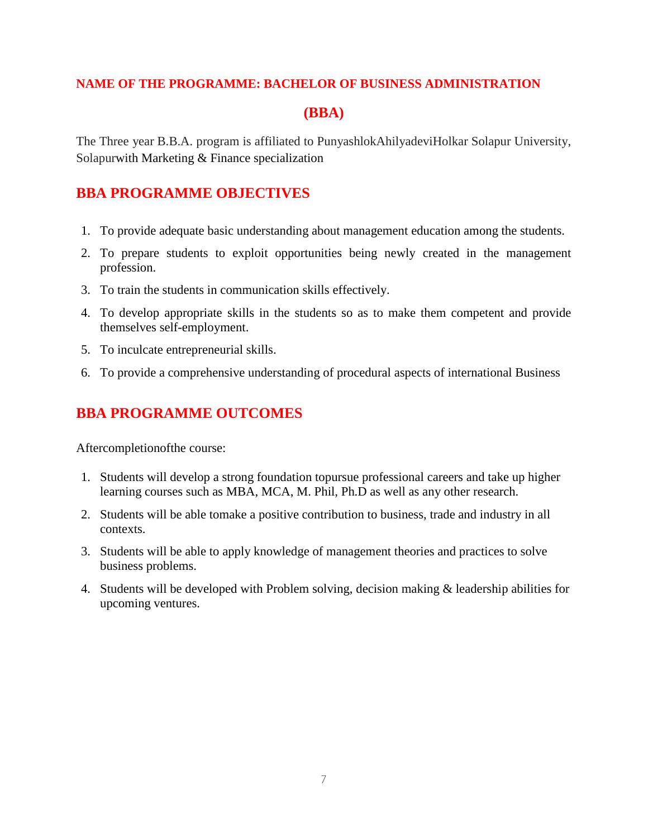## **NAME OF THE PROGRAMME: BACHELOR OF BUSINESS ADMINISTRATION**

## **(BBA)**

The Three year B.B.A. program is affiliated to PunyashlokAhilyadeviHolkar Solapur University, Solapurwith Marketing & Finance specialization

## **BBA PROGRAMME OBJECTIVES**

- 1. To provide adequate basic understanding about management education among the students.
- 2. To prepare students to exploit opportunities being newly created in the management profession.
- 3. To train the students in communication skills effectively.
- 4. To develop appropriate skills in the students so as to make them competent and provide themselves self-employment.
- 5. To inculcate entrepreneurial skills.
- 6. To provide a comprehensive understanding of procedural aspects of international Business

## **BBA PROGRAMME OUTCOMES**

Aftercompletionofthe course:

- 1. Students will develop a strong foundation topursue professional careers and take up higher learning courses such as MBA, MCA, M. Phil, Ph.D as well as any other research.
- 2. Students will be able tomake a positive contribution to business, trade and industry in all contexts.
- 3. Students will be able to apply knowledge of management theories and practices to solve business problems.
- 4. Students will be developed with Problem solving, decision making & leadership abilities for upcoming ventures.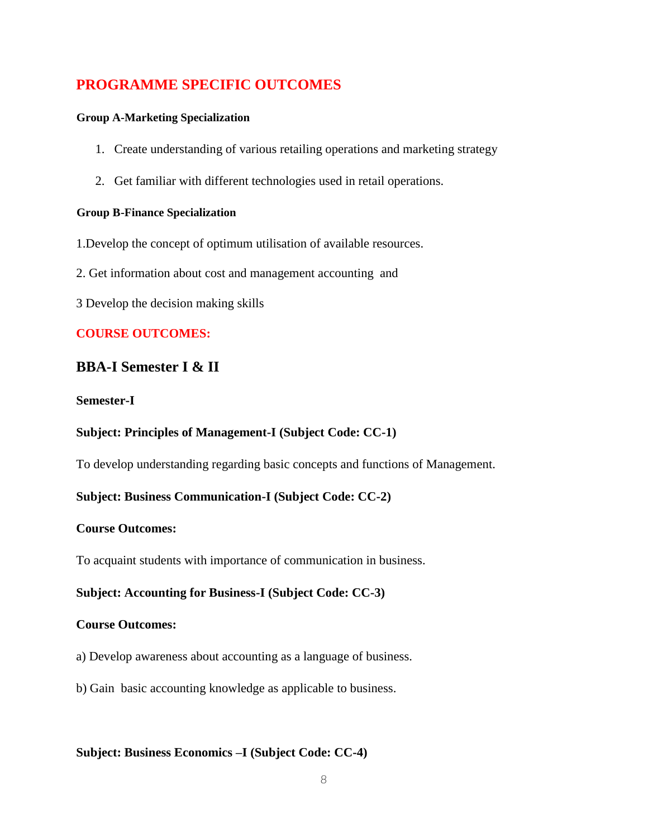## **PROGRAMME SPECIFIC OUTCOMES**

#### **Group A-Marketing Specialization**

- 1. Create understanding of various retailing operations and marketing strategy
- 2. Get familiar with different technologies used in retail operations.

#### **Group B-Finance Specialization**

1.Develop the concept of optimum utilisation of available resources.

- 2. Get information about cost and management accounting and
- 3 Develop the decision making skills

## **COURSE OUTCOMES:**

## **BBA-I Semester I & II**

#### **Semester-I**

## **Subject: Principles of Management-I (Subject Code: CC-1)**

To develop understanding regarding basic concepts and functions of Management.

## **Subject: Business Communication-I (Subject Code: CC-2)**

## **Course Outcomes:**

To acquaint students with importance of communication in business.

## **Subject: Accounting for Business-I (Subject Code: CC-3)**

#### **Course Outcomes:**

a) Develop awareness about accounting as a language of business.

b) Gain basic accounting knowledge as applicable to business.

## **Subject: Business Economics –I (Subject Code: CC-4)**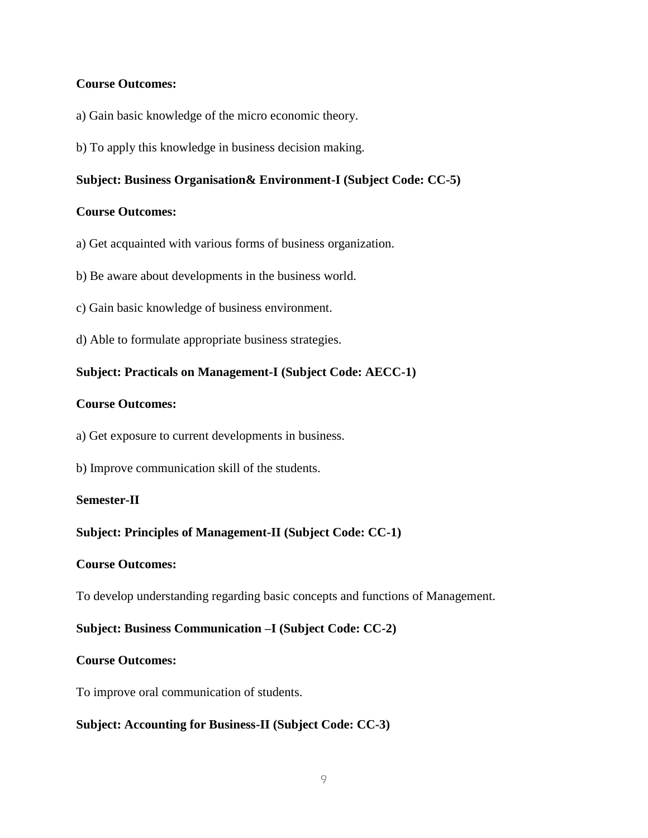## **Course Outcomes:**

- a) Gain basic knowledge of the micro economic theory.
- b) To apply this knowledge in business decision making.

#### **Subject: Business Organisation& Environment-I (Subject Code: CC-5)**

#### **Course Outcomes:**

- a) Get acquainted with various forms of business organization.
- b) Be aware about developments in the business world.
- c) Gain basic knowledge of business environment.
- d) Able to formulate appropriate business strategies.

## **Subject: Practicals on Management-I (Subject Code: AECC-1)**

#### **Course Outcomes:**

- a) Get exposure to current developments in business.
- b) Improve communication skill of the students.

#### **Semester-II**

## **Subject: Principles of Management-II (Subject Code: CC-1)**

#### **Course Outcomes:**

To develop understanding regarding basic concepts and functions of Management.

## **Subject: Business Communication –I (Subject Code: CC-2)**

#### **Course Outcomes:**

To improve oral communication of students.

## **Subject: Accounting for Business-II (Subject Code: CC-3)**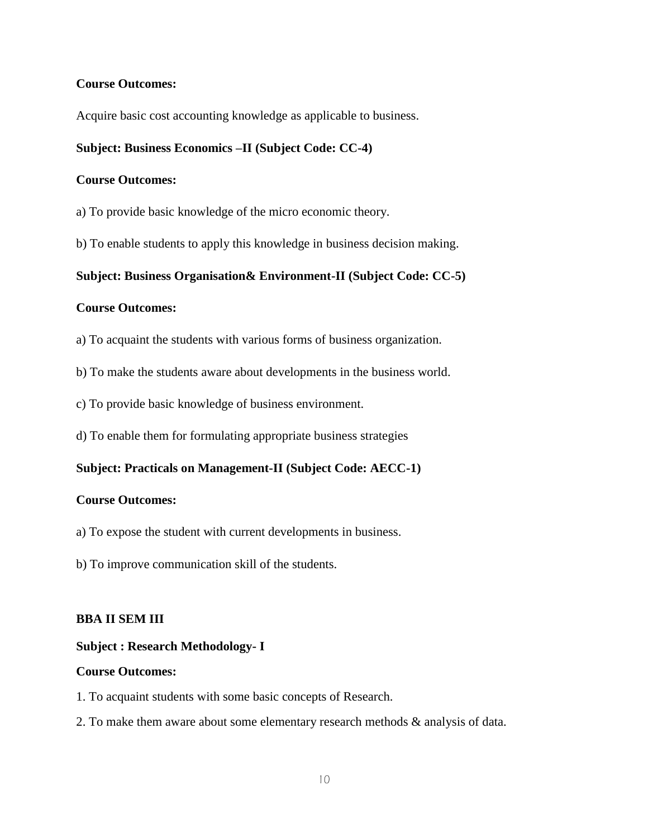## **Course Outcomes:**

Acquire basic cost accounting knowledge as applicable to business.

#### **Subject: Business Economics –II (Subject Code: CC-4)**

#### **Course Outcomes:**

- a) To provide basic knowledge of the micro economic theory.
- b) To enable students to apply this knowledge in business decision making.

**Subject: Business Organisation& Environment-II (Subject Code: CC-5)**

## **Course Outcomes:**

- a) To acquaint the students with various forms of business organization.
- b) To make the students aware about developments in the business world.
- c) To provide basic knowledge of business environment.
- d) To enable them for formulating appropriate business strategies

## **Subject: Practicals on Management-II (Subject Code: AECC-1)**

#### **Course Outcomes:**

- a) To expose the student with current developments in business.
- b) To improve communication skill of the students.

#### **BBA II SEM III**

#### **Subject : Research Methodology- I**

- 1. To acquaint students with some basic concepts of Research.
- 2. To make them aware about some elementary research methods & analysis of data.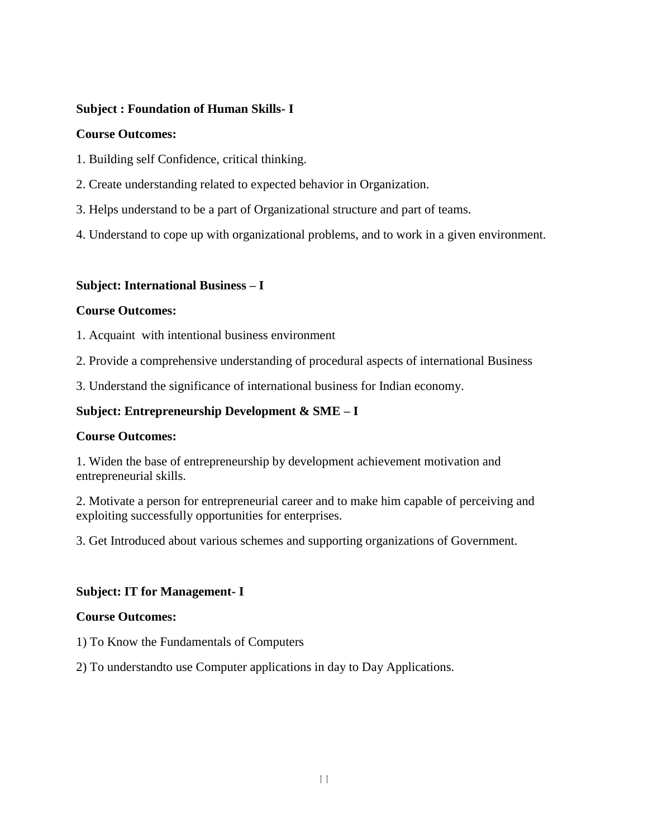## **Subject : Foundation of Human Skills- I**

## **Course Outcomes:**

- 1. Building self Confidence, critical thinking.
- 2. Create understanding related to expected behavior in Organization.
- 3. Helps understand to be a part of Organizational structure and part of teams.
- 4. Understand to cope up with organizational problems, and to work in a given environment.

## **Subject: International Business – I**

## **Course Outcomes:**

1. Acquaint with intentional business environment

2. Provide a comprehensive understanding of procedural aspects of international Business

3. Understand the significance of international business for Indian economy.

## **Subject: Entrepreneurship Development & SME – I**

## **Course Outcomes:**

1. Widen the base of entrepreneurship by development achievement motivation and entrepreneurial skills.

2. Motivate a person for entrepreneurial career and to make him capable of perceiving and exploiting successfully opportunities for enterprises.

3. Get Introduced about various schemes and supporting organizations of Government.

## **Subject: IT for Management- I**

- 1) To Know the Fundamentals of Computers
- 2) To understandto use Computer applications in day to Day Applications.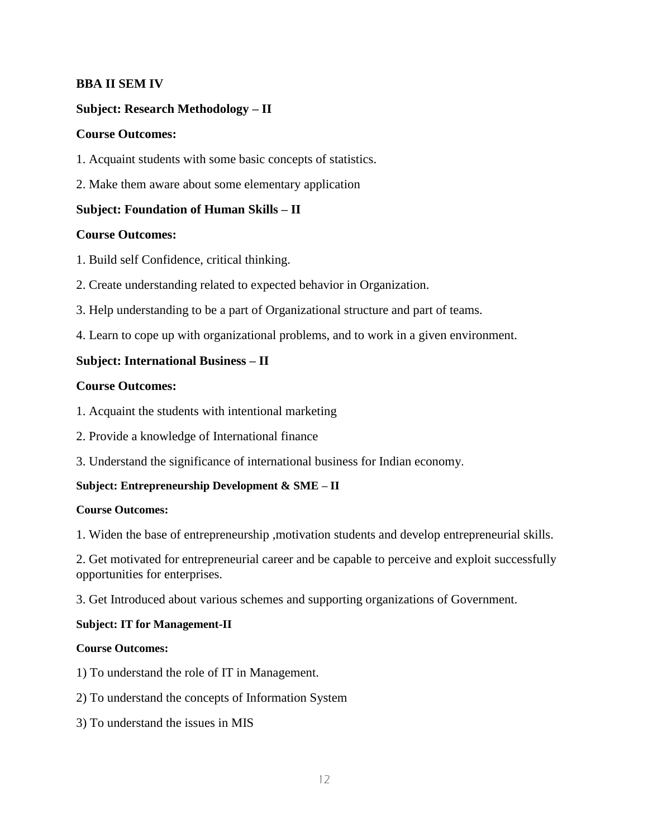## **BBA II SEM IV**

## **Subject: Research Methodology – II**

#### **Course Outcomes:**

- 1. Acquaint students with some basic concepts of statistics.
- 2. Make them aware about some elementary application

## **Subject: Foundation of Human Skills – II**

## **Course Outcomes:**

- 1. Build self Confidence, critical thinking.
- 2. Create understanding related to expected behavior in Organization.
- 3. Help understanding to be a part of Organizational structure and part of teams.
- 4. Learn to cope up with organizational problems, and to work in a given environment.

## **Subject: International Business – II**

## **Course Outcomes:**

- 1. Acquaint the students with intentional marketing
- 2. Provide a knowledge of International finance
- 3. Understand the significance of international business for Indian economy.

## **Subject: Entrepreneurship Development & SME – II**

#### **Course Outcomes:**

1. Widen the base of entrepreneurship ,motivation students and develop entrepreneurial skills.

2. Get motivated for entrepreneurial career and be capable to perceive and exploit successfully opportunities for enterprises.

3. Get Introduced about various schemes and supporting organizations of Government.

#### **Subject: IT for Management-II**

- 1) To understand the role of IT in Management.
- 2) To understand the concepts of Information System
- 3) To understand the issues in MIS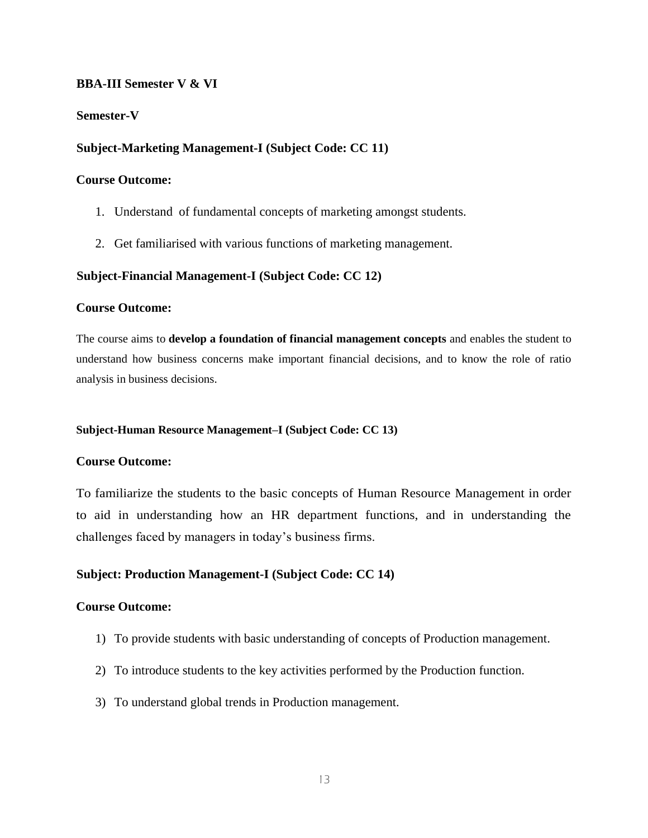#### **BBA-III Semester V & VI**

#### **Semester-V**

#### **Subject-Marketing Management-I (Subject Code: CC 11)**

#### **Course Outcome:**

- 1. Understand of fundamental concepts of marketing amongst students.
- 2. Get familiarised with various functions of marketing management.

#### **Subject-Financial Management-I (Subject Code: CC 12)**

#### **Course Outcome:**

The course aims to **develop a foundation of financial management concepts** and enables the student to understand how business concerns make important financial decisions, and to know the role of ratio analysis in business decisions.

#### **Subject-Human Resource Management–I (Subject Code: CC 13)**

#### **Course Outcome:**

To familiarize the students to the basic concepts of Human Resource Management in order to aid in understanding how an HR department functions, and in understanding the challenges faced by managers in today's business firms.

## **Subject: Production Management-I (Subject Code: CC 14)**

- 1) To provide students with basic understanding of concepts of Production management.
- 2) To introduce students to the key activities performed by the Production function.
- 3) To understand global trends in Production management.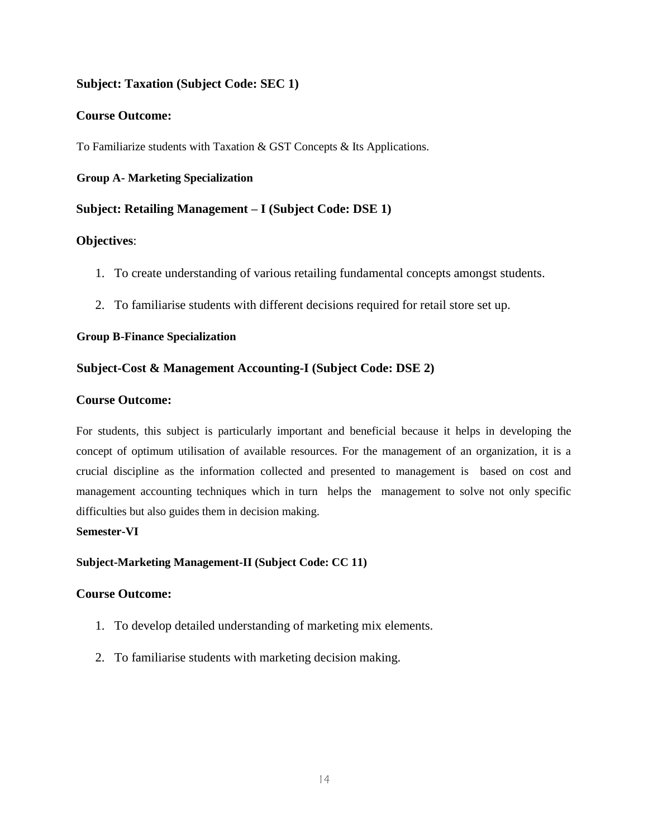## **Subject: Taxation (Subject Code: SEC 1)**

#### **Course Outcome:**

To Familiarize students with Taxation & GST Concepts & Its Applications.

#### **Group A- Marketing Specialization**

## **Subject: Retailing Management – I (Subject Code: DSE 1)**

#### **Objectives**:

- 1. To create understanding of various retailing fundamental concepts amongst students.
- 2. To familiarise students with different decisions required for retail store set up.

#### **Group B-Finance Specialization**

## **Subject-Cost & Management Accounting-I (Subject Code: DSE 2)**

#### **Course Outcome:**

For students, this subject is particularly important and beneficial because it helps in developing the concept of optimum utilisation of available resources. For the management of an organization, it is a crucial discipline as the information collected and presented to management is based on cost and management accounting techniques which in turn helps the management to solve not only specific difficulties but also guides them in decision making.

#### **Semester-VI**

#### **Subject-Marketing Management-II (Subject Code: CC 11)**

- 1. To develop detailed understanding of marketing mix elements.
- 2. To familiarise students with marketing decision making.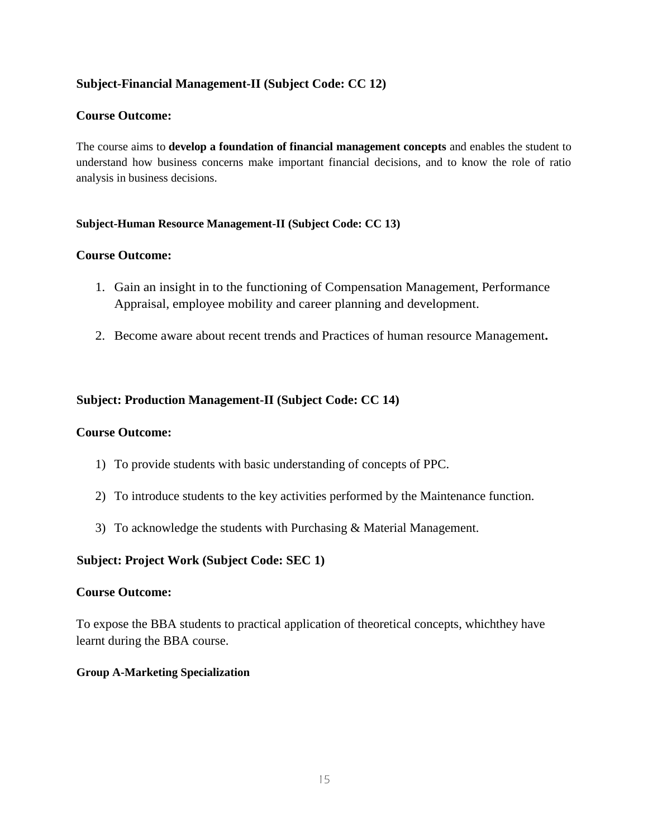## **Subject-Financial Management-II (Subject Code: CC 12)**

## **Course Outcome:**

The course aims to **develop a foundation of financial management concepts** and enables the student to understand how business concerns make important financial decisions, and to know the role of ratio analysis in business decisions.

## **Subject-Human Resource Management-II (Subject Code: CC 13)**

## **Course Outcome:**

- 1. Gain an insight in to the functioning of Compensation Management, Performance Appraisal, employee mobility and career planning and development.
- 2. Become aware about recent trends and Practices of human resource Management**.**

## **Subject: Production Management-II (Subject Code: CC 14)**

## **Course Outcome:**

- 1) To provide students with basic understanding of concepts of PPC.
- 2) To introduce students to the key activities performed by the Maintenance function.
- 3) To acknowledge the students with Purchasing & Material Management.

## **Subject: Project Work (Subject Code: SEC 1)**

## **Course Outcome:**

To expose the BBA students to practical application of theoretical concepts, whichthey have learnt during the BBA course.

## **Group A-Marketing Specialization**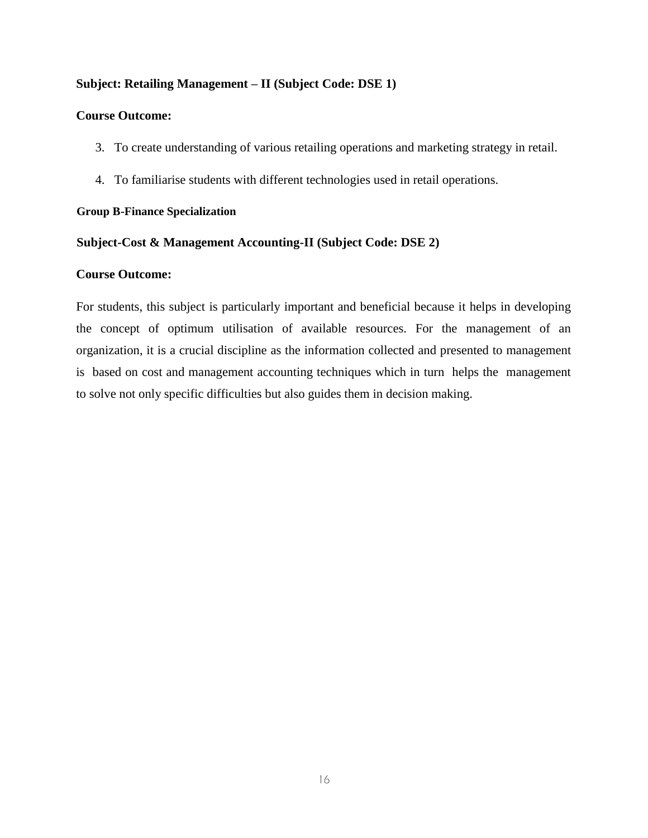## **Subject: Retailing Management – II (Subject Code: DSE 1)**

#### **Course Outcome:**

- 3. To create understanding of various retailing operations and marketing strategy in retail.
- 4. To familiarise students with different technologies used in retail operations.

## **Group B-Finance Specialization**

## **Subject-Cost & Management Accounting-II (Subject Code: DSE 2)**

#### **Course Outcome:**

For students, this subject is particularly important and beneficial because it helps in developing the concept of optimum utilisation of available resources. For the management of an organization, it is a crucial discipline as the information collected and presented to management is based on cost and management accounting techniques which in turn helps the management to solve not only specific difficulties but also guides them in decision making.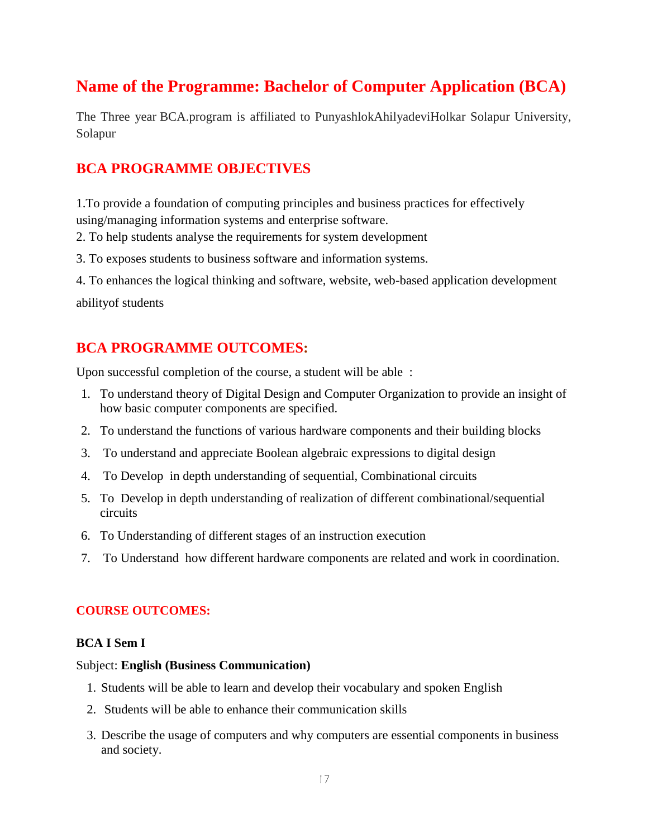# **Name of the Programme: Bachelor of Computer Application (BCA)**

The Three year BCA.program is affiliated to PunyashlokAhilyadeviHolkar Solapur University, Solapur

# **BCA PROGRAMME OBJECTIVES**

1.To provide a foundation of computing principles and business practices for effectively using/managing information systems and enterprise software.

- 2. To help students analyse the requirements for system development
- 3. To exposes students to business software and information systems.

4. To enhances the logical thinking and software, website, web-based application development abilityof students

# **BCA PROGRAMME OUTCOMES:**

Upon successful completion of the course, a student will be able :

- 1. To understand theory of Digital Design and Computer Organization to provide an insight of how basic computer components are specified.
- 2. To understand the functions of various hardware components and their building blocks
- 3. To understand and appreciate Boolean algebraic expressions to digital design
- 4. To Develop in depth understanding of sequential, Combinational circuits
- 5. To Develop in depth understanding of realization of different combinational/sequential circuits
- 6. To Understanding of different stages of an instruction execution
- 7. To Understand how different hardware components are related and work in coordination.

## **COURSE OUTCOMES:**

## **BCA I Sem I**

## Subject: **English (Business Communication)**

- 1. Students will be able to learn and develop their vocabulary and spoken English
- 2. Students will be able to enhance their communication skills
- 3. Describe the usage of computers and why computers are essential components in business and society.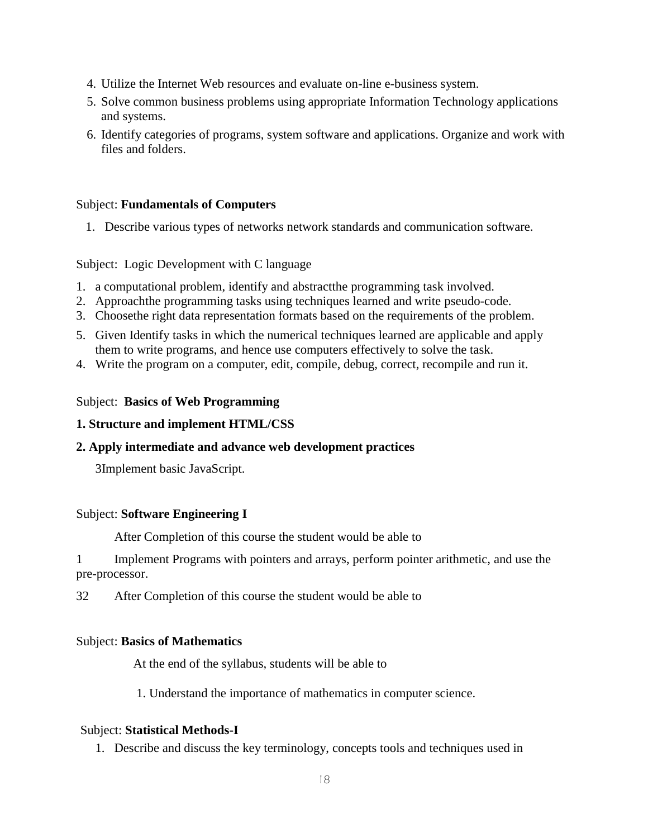- 4. Utilize the Internet Web resources and evaluate on-line e-business system.
- 5. Solve common business problems using appropriate Information Technology applications and systems.
- 6. Identify categories of programs, system software and applications. Organize and work with files and folders.

## Subject: **Fundamentals of Computers**

1. Describe various types of networks network standards and communication software.

## Subject: Logic Development with C language

- 1. a computational problem, identify and abstractthe programming task involved.
- 2. Approachthe programming tasks using techniques learned and write pseudo-code.
- 3. Choosethe right data representation formats based on the requirements of the problem.
- 5. Given Identify tasks in which the numerical techniques learned are applicable and apply them to write programs, and hence use computers effectively to solve the task.
- 4. Write the program on a computer, edit, compile, debug, correct, recompile and run it.

## Subject: **Basics of Web Programming**

## **1. Structure and implement HTML/CSS**

## **2. Apply intermediate and advance web development practices**

3Implement basic JavaScript.

## Subject: **Software Engineering I**

After Completion of this course the student would be able to

1 Implement Programs with pointers and arrays, perform pointer arithmetic, and use the pre-processor.

32 After Completion of this course the student would be able to

## Subject: **Basics of Mathematics**

At the end of the syllabus, students will be able to

1. Understand the importance of mathematics in computer science.

## Subject: **Statistical Methods-I**

1. Describe and discuss the key terminology, concepts tools and techniques used in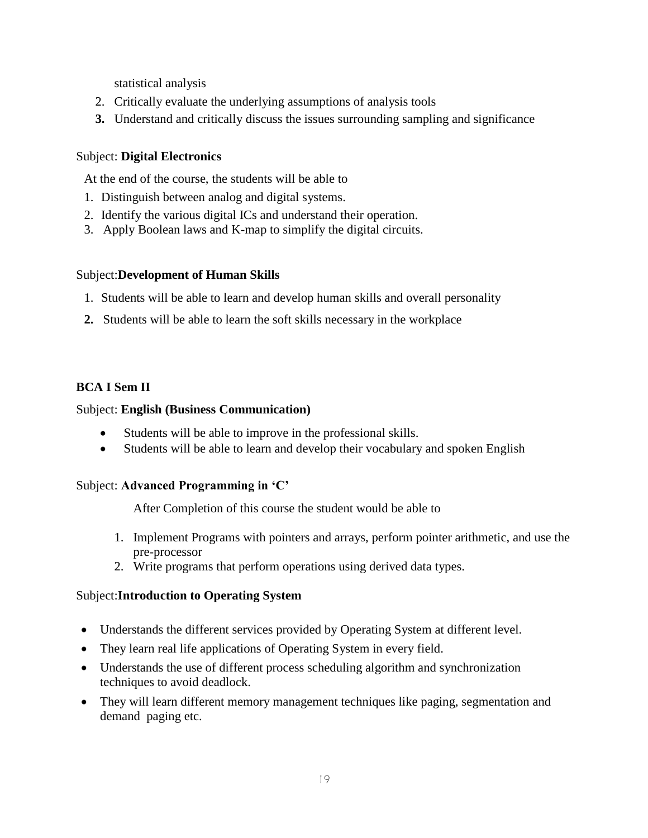statistical analysis

- 2. Critically evaluate the underlying assumptions of analysis tools
- **3.** Understand and critically discuss the issues surrounding sampling and significance

## Subject: **Digital Electronics**

At the end of the course, the students will be able to

- 1. Distinguish between analog and digital systems.
- 2. Identify the various digital ICs and understand their operation.
- 3. Apply Boolean laws and K-map to simplify the digital circuits.

## Subject:**Development of Human Skills**

- 1. Students will be able to learn and develop human skills and overall personality
- **2.** Students will be able to learn the soft skills necessary in the workplace

## **BCA I Sem II**

## Subject: **English (Business Communication)**

- Students will be able to improve in the professional skills.
- Students will be able to learn and develop their vocabulary and spoken English

## Subject: **Advanced Programming in 'C'**

After Completion of this course the student would be able to

- 1. Implement Programs with pointers and arrays, perform pointer arithmetic, and use the pre-processor
- 2. Write programs that perform operations using derived data types.

## Subject:**Introduction to Operating System**

- Understands the different services provided by Operating System at different level.
- They learn real life applications of Operating System in every field.
- Understands the use of different process scheduling algorithm and synchronization techniques to avoid deadlock.
- They will learn different memory management techniques like paging, segmentation and demand paging etc.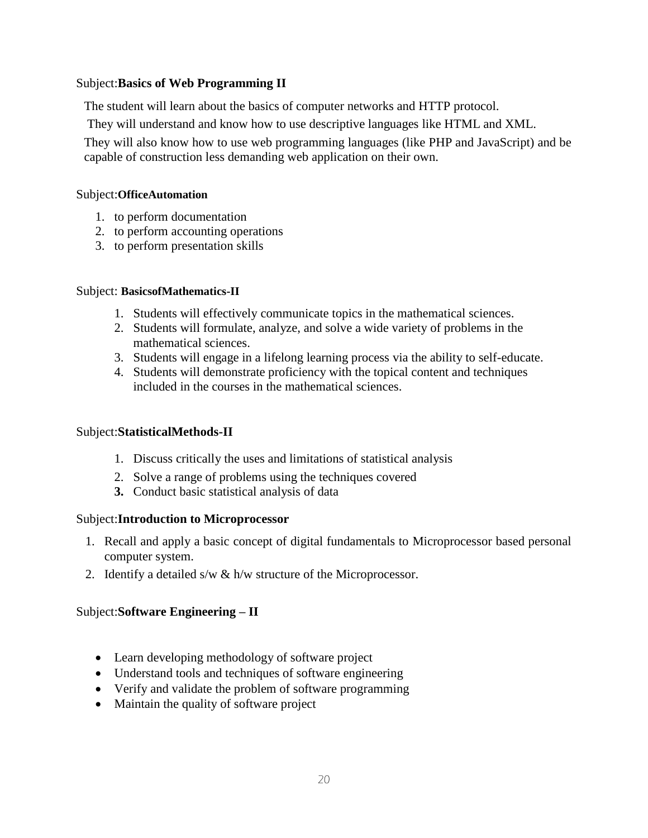## Subject:**Basics of Web Programming II**

The student will learn about the basics of computer networks and HTTP protocol.

They will understand and know how to use descriptive languages like HTML and XML.

They will also know how to use web programming languages (like PHP and JavaScript) and be capable of construction less demanding web application on their own.

## Subject:**OfficeAutomation**

- 1. to perform documentation
- 2. to perform accounting operations
- 3. to perform presentation skills

## Subject: **BasicsofMathematics-II**

- 1. Students will effectively communicate topics in the mathematical sciences.
- 2. Students will formulate, analyze, and solve a wide variety of problems in the mathematical sciences.
- 3. Students will engage in a lifelong learning process via the ability to self-educate.
- 4. Students will demonstrate proficiency with the topical content and techniques included in the courses in the mathematical sciences.

## Subject:**StatisticalMethods-II**

- 1. Discuss critically the uses and limitations of statistical analysis
- 2. Solve a range of problems using the techniques covered
- **3.** Conduct basic statistical analysis of data

## Subject:**Introduction to Microprocessor**

- 1. Recall and apply a basic concept of digital fundamentals to Microprocessor based personal computer system.
- 2. Identify a detailed s/w & h/w structure of the Microprocessor.

## Subject:**Software Engineering – II**

- Learn developing methodology of software project
- Understand tools and techniques of software engineering
- Verify and validate the problem of software programming
- Maintain the quality of software project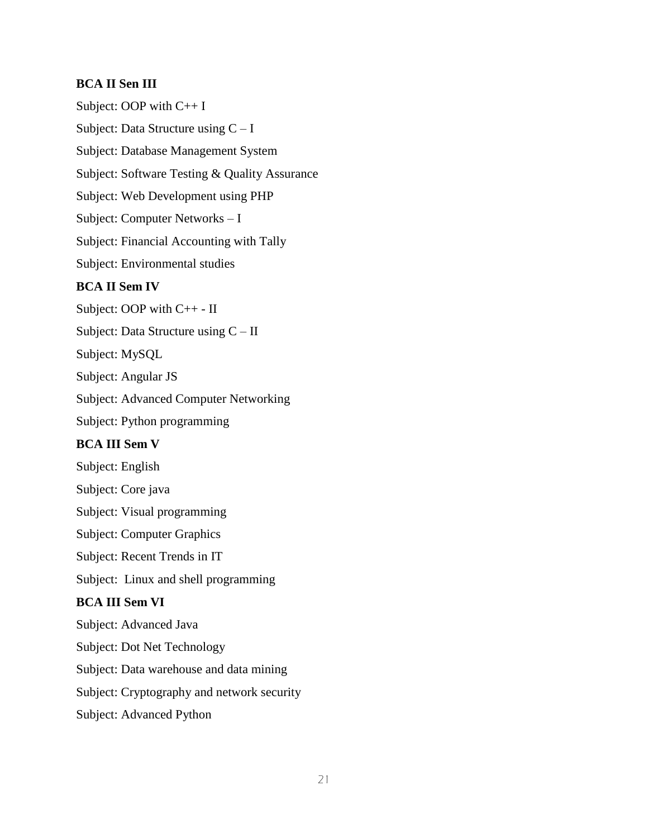## **BCA II Sen III**

Subject: OOP with C++ I Subject: Data Structure using  $C - I$ Subject: Database Management System Subject: Software Testing & Quality Assurance Subject: Web Development using PHP Subject: Computer Networks – I Subject: Financial Accounting with Tally Subject: Environmental studies **BCA II Sem IV** Subject: OOP with C++ - II Subject: Data Structure using C – II Subject: MySQL Subject: Angular JS Subject: Advanced Computer Networking Subject: Python programming **BCA III Sem V** Subject: English Subject: Core java Subject: Visual programming Subject: Computer Graphics Subject: Recent Trends in IT Subject: Linux and shell programming **BCA III Sem VI**  Subject: Advanced Java Subject: Dot Net Technology Subject: Data warehouse and data mining Subject: Cryptography and network security Subject: Advanced Python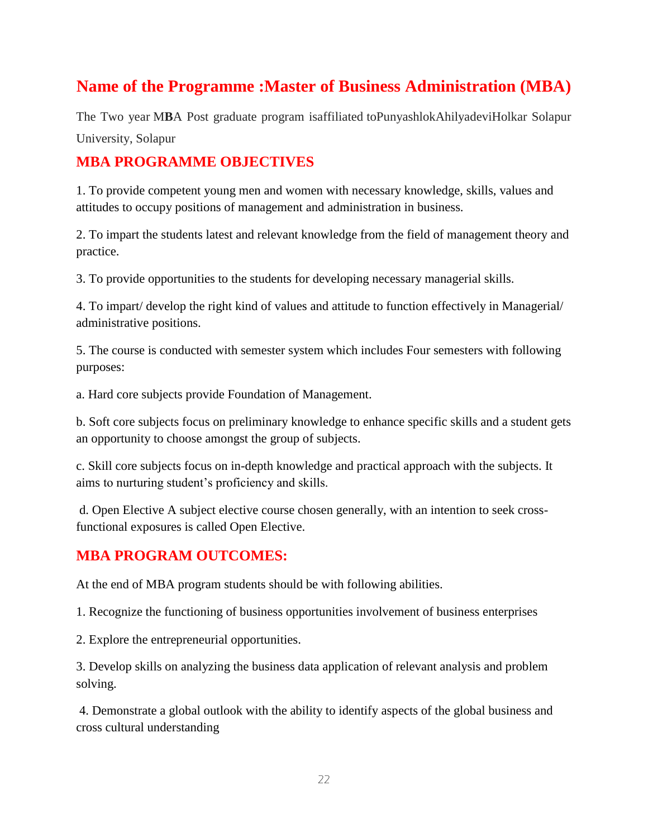# **Name of the Programme :Master of Business Administration (MBA)**

The Two year M**B**A Post graduate program isaffiliated toPunyashlokAhilyadeviHolkar Solapur University, Solapur

# **MBA PROGRAMME OBJECTIVES**

1. To provide competent young men and women with necessary knowledge, skills, values and attitudes to occupy positions of management and administration in business.

2. To impart the students latest and relevant knowledge from the field of management theory and practice.

3. To provide opportunities to the students for developing necessary managerial skills.

4. To impart/ develop the right kind of values and attitude to function effectively in Managerial/ administrative positions.

5. The course is conducted with semester system which includes Four semesters with following purposes:

a. Hard core subjects provide Foundation of Management.

b. Soft core subjects focus on preliminary knowledge to enhance specific skills and a student gets an opportunity to choose amongst the group of subjects.

c. Skill core subjects focus on in-depth knowledge and practical approach with the subjects. It aims to nurturing student's proficiency and skills.

d. Open Elective A subject elective course chosen generally, with an intention to seek crossfunctional exposures is called Open Elective.

## **MBA PROGRAM OUTCOMES:**

At the end of MBA program students should be with following abilities.

1. Recognize the functioning of business opportunities involvement of business enterprises

2. Explore the entrepreneurial opportunities.

3. Develop skills on analyzing the business data application of relevant analysis and problem solving.

4. Demonstrate a global outlook with the ability to identify aspects of the global business and cross cultural understanding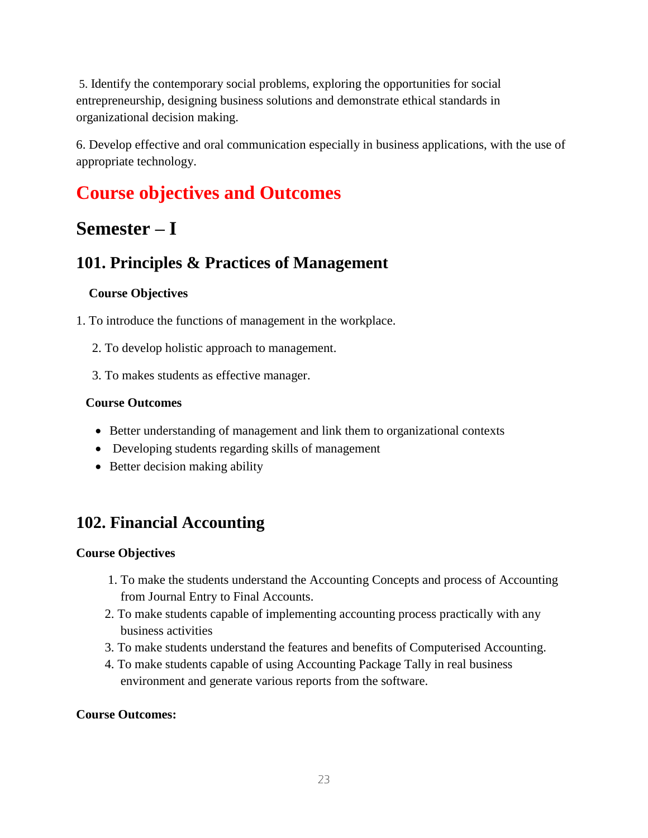5. Identify the contemporary social problems, exploring the opportunities for social entrepreneurship, designing business solutions and demonstrate ethical standards in organizational decision making.

6. Develop effective and oral communication especially in business applications, with the use of appropriate technology.

# **Course objectives and Outcomes**

# **Semester – I**

# **101. Principles & Practices of Management**

## **Course Objectives**

- 1. To introduce the functions of management in the workplace.
	- 2. To develop holistic approach to management.
	- 3. To makes students as effective manager.

## **Course Outcomes**

- Better understanding of management and link them to organizational contexts
- Developing students regarding skills of management
- Better decision making ability

# **102. Financial Accounting**

## **Course Objectives**

- 1. To make the students understand the Accounting Concepts and process of Accounting from Journal Entry to Final Accounts.
- 2. To make students capable of implementing accounting process practically with any business activities
- 3. To make students understand the features and benefits of Computerised Accounting.
- 4. To make students capable of using Accounting Package Tally in real business environment and generate various reports from the software.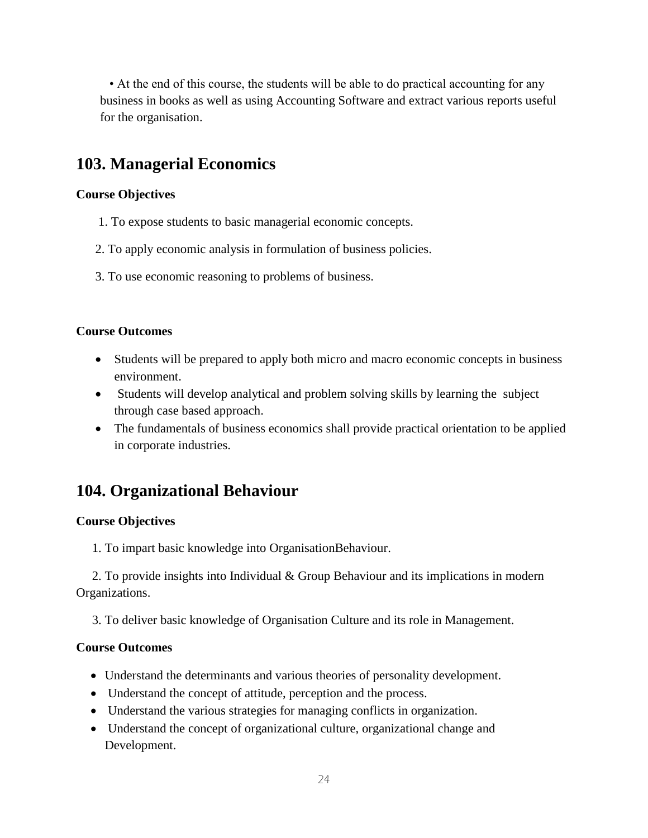• At the end of this course, the students will be able to do practical accounting for any business in books as well as using Accounting Software and extract various reports useful for the organisation.

# **103. Managerial Economics**

## **Course Objectives**

- 1. To expose students to basic managerial economic concepts.
- 2. To apply economic analysis in formulation of business policies.
- 3. To use economic reasoning to problems of business.

## **Course Outcomes**

- Students will be prepared to apply both micro and macro economic concepts in business environment.
- Students will develop analytical and problem solving skills by learning the subject through case based approach.
- The fundamentals of business economics shall provide practical orientation to be applied in corporate industries.

# **104. Organizational Behaviour**

## **Course Objectives**

1. To impart basic knowledge into OrganisationBehaviour.

 2. To provide insights into Individual & Group Behaviour and its implications in modern Organizations.

3. To deliver basic knowledge of Organisation Culture and its role in Management.

- Understand the determinants and various theories of personality development.
- Understand the concept of attitude, perception and the process.
- Understand the various strategies for managing conflicts in organization.
- Understand the concept of organizational culture, organizational change and Development.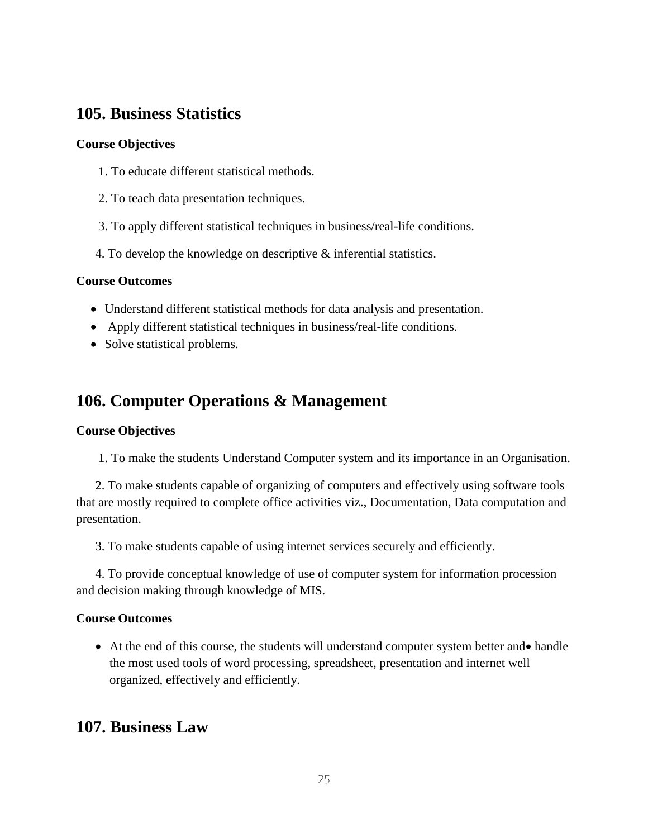# **105. Business Statistics**

## **Course Objectives**

- 1. To educate different statistical methods.
- 2. To teach data presentation techniques.
- 3. To apply different statistical techniques in business/real-life conditions.
- 4. To develop the knowledge on descriptive & inferential statistics.

## **Course Outcomes**

- Understand different statistical methods for data analysis and presentation.
- Apply different statistical techniques in business/real-life conditions.
- Solve statistical problems.

# **106. Computer Operations & Management**

## **Course Objectives**

1. To make the students Understand Computer system and its importance in an Organisation.

 2. To make students capable of organizing of computers and effectively using software tools that are mostly required to complete office activities viz., Documentation, Data computation and presentation.

3. To make students capable of using internet services securely and efficiently.

 4. To provide conceptual knowledge of use of computer system for information procession and decision making through knowledge of MIS.

## **Course Outcomes**

• At the end of this course, the students will understand computer system better and • handle the most used tools of word processing, spreadsheet, presentation and internet well organized, effectively and efficiently.

# **107. Business Law**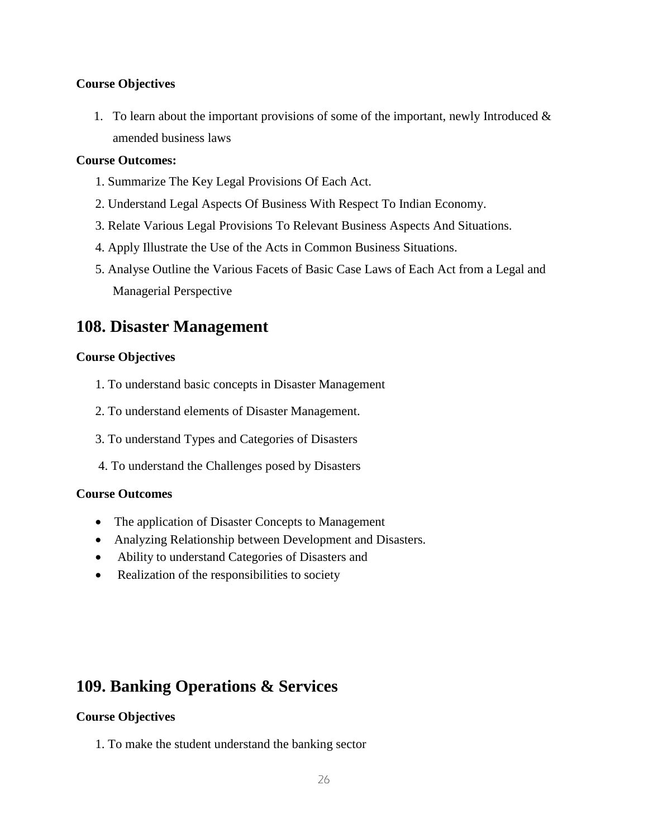## **Course Objectives**

1. To learn about the important provisions of some of the important, newly Introduced  $\&$ amended business laws

## **Course Outcomes:**

- 1. Summarize The Key Legal Provisions Of Each Act.
- 2. Understand Legal Aspects Of Business With Respect To Indian Economy.
- 3. Relate Various Legal Provisions To Relevant Business Aspects And Situations.
- 4. Apply Illustrate the Use of the Acts in Common Business Situations.
- 5. Analyse Outline the Various Facets of Basic Case Laws of Each Act from a Legal and Managerial Perspective

# **108. Disaster Management**

## **Course Objectives**

- 1. To understand basic concepts in Disaster Management
- 2. To understand elements of Disaster Management.
- 3. To understand Types and Categories of Disasters
- 4. To understand the Challenges posed by Disasters

## **Course Outcomes**

- The application of Disaster Concepts to Management
- Analyzing Relationship between Development and Disasters.
- Ability to understand Categories of Disasters and
- Realization of the responsibilities to society

# **109. Banking Operations & Services**

## **Course Objectives**

1. To make the student understand the banking sector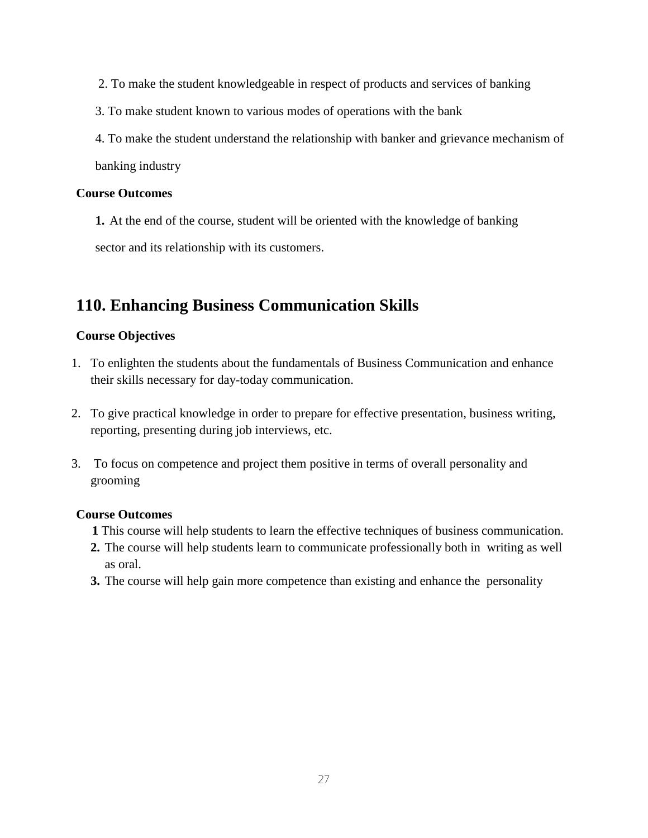- 2. To make the student knowledgeable in respect of products and services of banking
- 3. To make student known to various modes of operations with the bank
- 4. To make the student understand the relationship with banker and grievance mechanism of banking industry

#### **Course Outcomes**

**1.** At the end of the course, student will be oriented with the knowledge of banking sector and its relationship with its customers.

## **110. Enhancing Business Communication Skills**

## **Course Objectives**

- 1. To enlighten the students about the fundamentals of Business Communication and enhance their skills necessary for day-today communication.
- 2. To give practical knowledge in order to prepare for effective presentation, business writing, reporting, presenting during job interviews, etc.
- 3. To focus on competence and project them positive in terms of overall personality and grooming

- **1** This course will help students to learn the effective techniques of business communication.
- **2.** The course will help students learn to communicate professionally both in writing as well as oral.
- **3.** The course will help gain more competence than existing and enhance the personality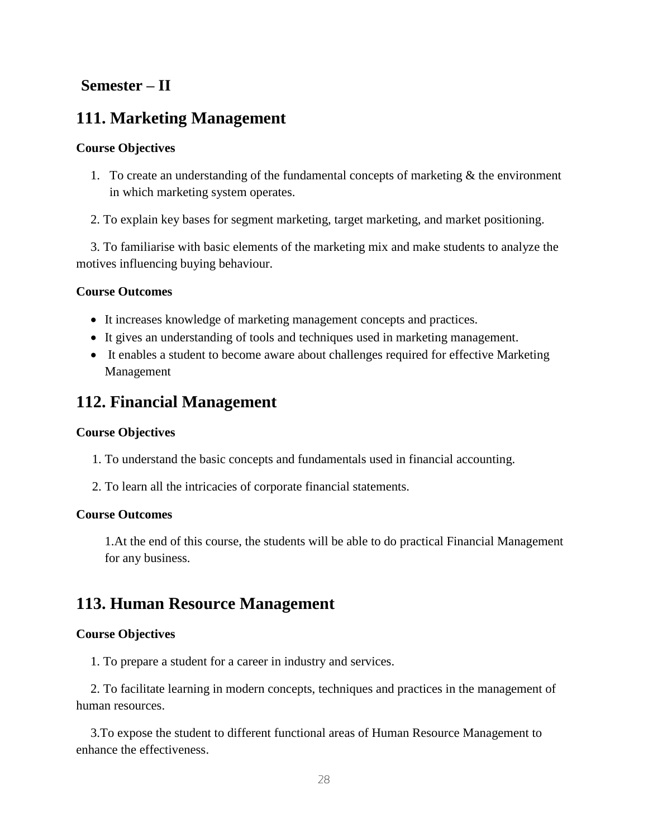# **Semester – II**

# **111. Marketing Management**

## **Course Objectives**

- 1. To create an understanding of the fundamental concepts of marketing & the environment in which marketing system operates.
- 2. To explain key bases for segment marketing, target marketing, and market positioning.

3. To familiarise with basic elements of the marketing mix and make students to analyze the motives influencing buying behaviour.

## **Course Outcomes**

- It increases knowledge of marketing management concepts and practices.
- It gives an understanding of tools and techniques used in marketing management.
- It enables a student to become aware about challenges required for effective Marketing Management

# **112. Financial Management**

## **Course Objectives**

- 1. To understand the basic concepts and fundamentals used in financial accounting.
- 2. To learn all the intricacies of corporate financial statements.

## **Course Outcomes**

1.At the end of this course, the students will be able to do practical Financial Management for any business.

# **113. Human Resource Management**

## **Course Objectives**

1. To prepare a student for a career in industry and services.

2. To facilitate learning in modern concepts, techniques and practices in the management of human resources.

3.To expose the student to different functional areas of Human Resource Management to enhance the effectiveness.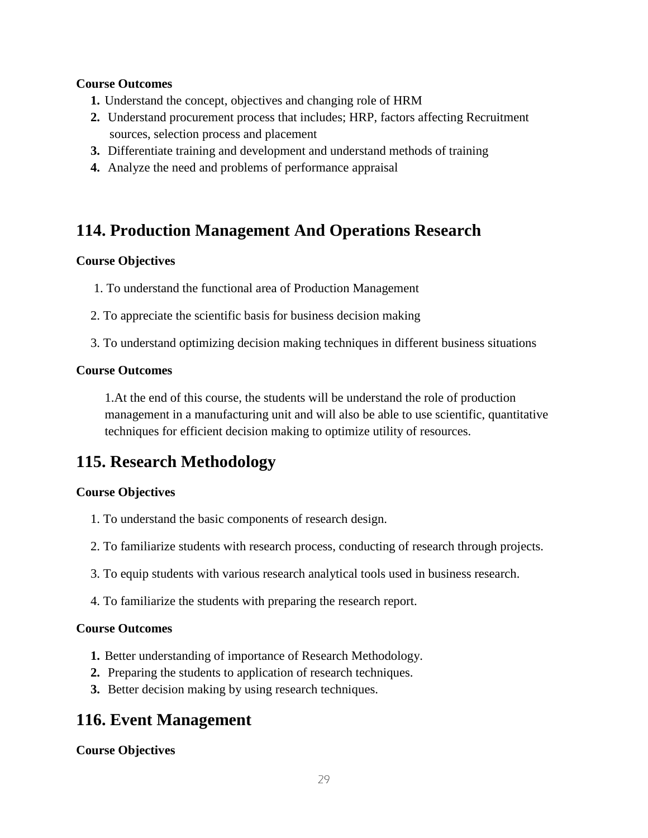## **Course Outcomes**

- **1.** Understand the concept, objectives and changing role of HRM
- **2.** Understand procurement process that includes; HRP, factors affecting Recruitment sources, selection process and placement
- **3.** Differentiate training and development and understand methods of training
- **4.** Analyze the need and problems of performance appraisal

# **114. Production Management And Operations Research**

## **Course Objectives**

- 1. To understand the functional area of Production Management
- 2. To appreciate the scientific basis for business decision making
- 3. To understand optimizing decision making techniques in different business situations

## **Course Outcomes**

1.At the end of this course, the students will be understand the role of production management in a manufacturing unit and will also be able to use scientific, quantitative techniques for efficient decision making to optimize utility of resources.

# **115. Research Methodology**

## **Course Objectives**

- 1. To understand the basic components of research design.
- 2. To familiarize students with research process, conducting of research through projects.
- 3. To equip students with various research analytical tools used in business research.
- 4. To familiarize the students with preparing the research report.

## **Course Outcomes**

- **1.** Better understanding of importance of Research Methodology.
- **2.** Preparing the students to application of research techniques.
- **3.** Better decision making by using research techniques.

# **116. Event Management**

**Course Objectives**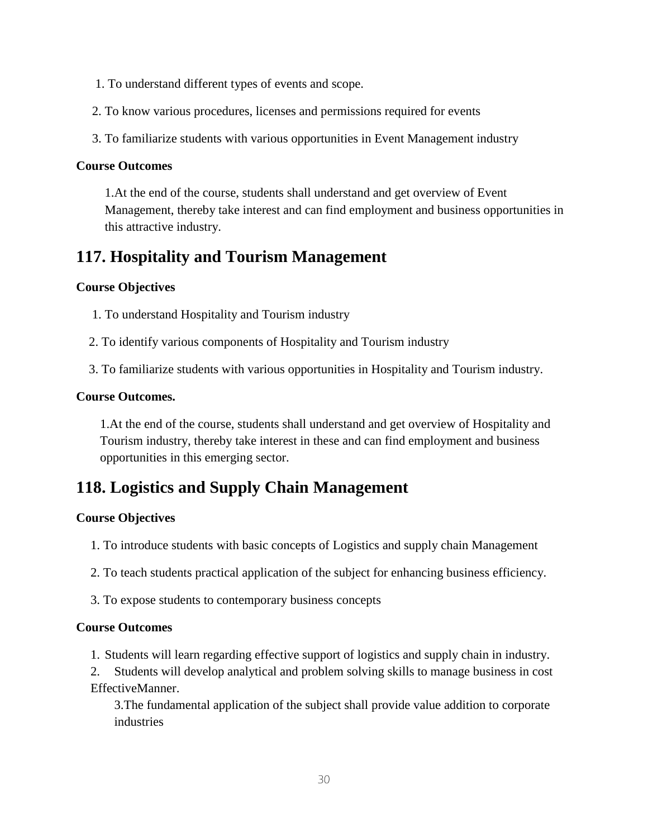- 1. To understand different types of events and scope.
- 2. To know various procedures, licenses and permissions required for events
- 3. To familiarize students with various opportunities in Event Management industry

## **Course Outcomes**

1.At the end of the course, students shall understand and get overview of Event Management, thereby take interest and can find employment and business opportunities in this attractive industry.

# **117. Hospitality and Tourism Management**

## **Course Objectives**

- 1. To understand Hospitality and Tourism industry
- 2. To identify various components of Hospitality and Tourism industry
- 3. To familiarize students with various opportunities in Hospitality and Tourism industry.

## **Course Outcomes.**

1.At the end of the course, students shall understand and get overview of Hospitality and Tourism industry, thereby take interest in these and can find employment and business opportunities in this emerging sector.

# **118. Logistics and Supply Chain Management**

## **Course Objectives**

- 1. To introduce students with basic concepts of Logistics and supply chain Management
- 2. To teach students practical application of the subject for enhancing business efficiency.
- 3. To expose students to contemporary business concepts

## **Course Outcomes**

1. Students will learn regarding effective support of logistics and supply chain in industry.

2. Students will develop analytical and problem solving skills to manage business in cost EffectiveManner.

3.The fundamental application of the subject shall provide value addition to corporate industries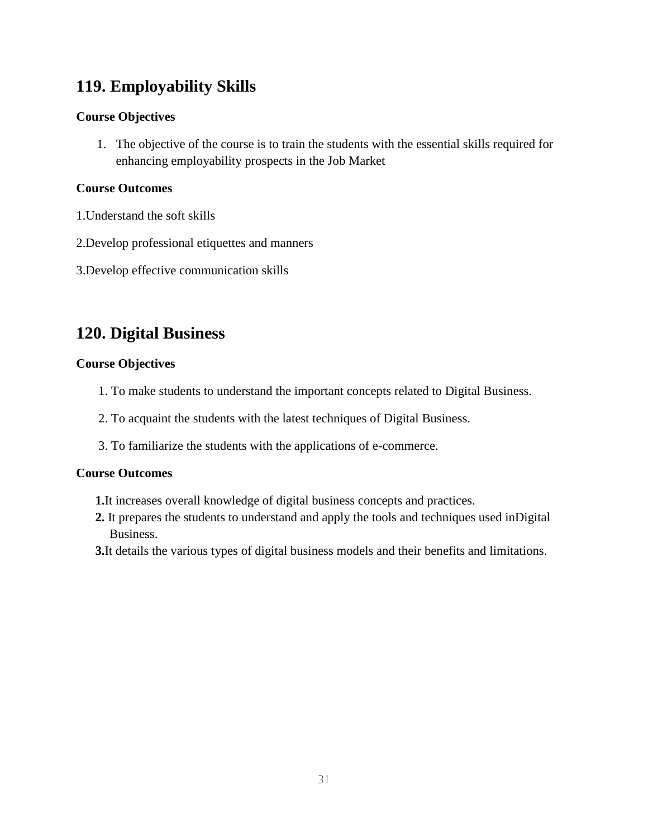# **119. Employability Skills**

## **Course Objectives**

1. The objective of the course is to train the students with the essential skills required for enhancing employability prospects in the Job Market

## **Course Outcomes**

- 1.Understand the soft skills
- 2.Develop professional etiquettes and manners
- 3.Develop effective communication skills

# **120. Digital Business**

## **Course Objectives**

- 1. To make students to understand the important concepts related to Digital Business.
- 2. To acquaint the students with the latest techniques of Digital Business.
- 3. To familiarize the students with the applications of e-commerce.

- **1.**It increases overall knowledge of digital business concepts and practices.
- **2.** It prepares the students to understand and apply the tools and techniques used inDigital Business.
- **3.**It details the various types of digital business models and their benefits and limitations.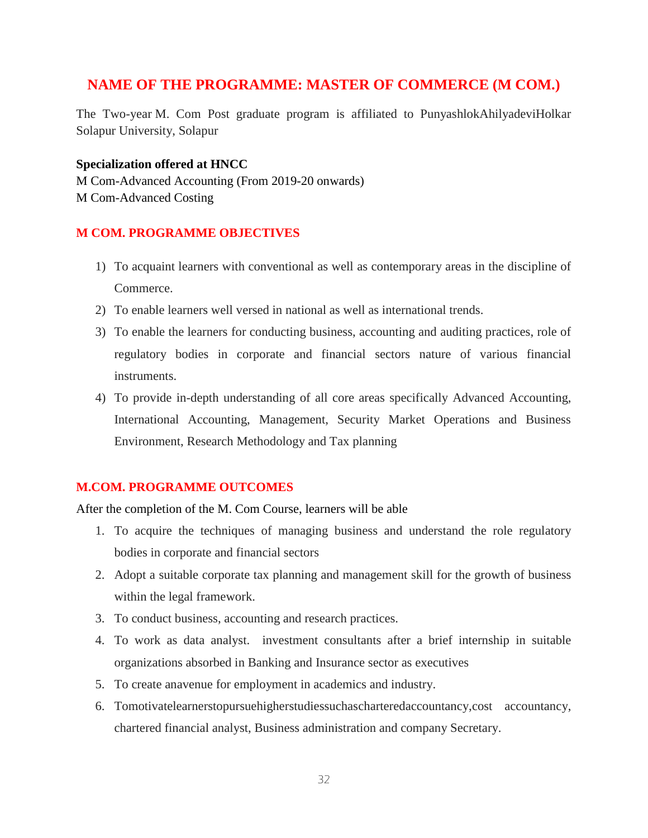## **NAME OF THE PROGRAMME: MASTER OF COMMERCE (M COM.)**

The Two-year M. Com Post graduate program is affiliated to PunyashlokAhilyadeviHolkar Solapur University, Solapur

## **Specialization offered at HNCC**

M Com-Advanced Accounting (From 2019-20 onwards) M Com-Advanced Costing

## **M COM. PROGRAMME OBJECTIVES**

- 1) To acquaint learners with conventional as well as contemporary areas in the discipline of Commerce.
- 2) To enable learners well versed in national as well as international trends.
- 3) To enable the learners for conducting business, accounting and auditing practices, role of regulatory bodies in corporate and financial sectors nature of various financial instruments.
- 4) To provide in-depth understanding of all core areas specifically Advanced Accounting, International Accounting, Management, Security Market Operations and Business Environment, Research Methodology and Tax planning

## **M.COM. PROGRAMME OUTCOMES**

After the completion of the M. Com Course, learners will be able

- 1. To acquire the techniques of managing business and understand the role regulatory bodies in corporate and financial sectors
- 2. Adopt a suitable corporate tax planning and management skill for the growth of business within the legal framework.
- 3. To conduct business, accounting and research practices.
- 4. To work as data analyst. investment consultants after a brief internship in suitable organizations absorbed in Banking and Insurance sector as executives
- 5. To create anavenue for employment in academics and industry.
- 6. Tomotivatelearnerstopursuehigherstudiessuchascharteredaccountancy,cost accountancy, chartered financial analyst, Business administration and company Secretary.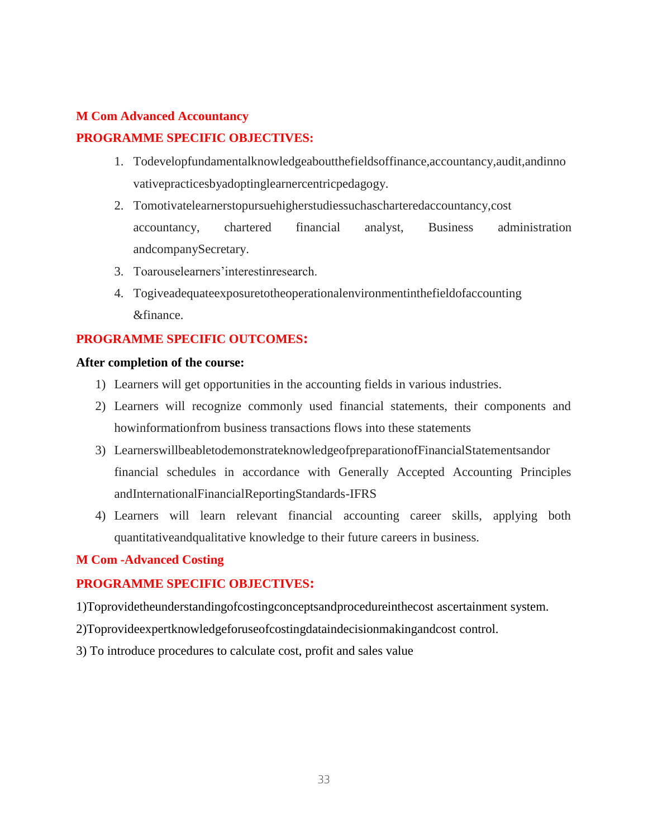## **M Com Advanced Accountancy**

## **PROGRAMME SPECIFIC OBJECTIVES:**

- 1. Todevelopfundamentalknowledgeaboutthefieldsoffinance,accountancy,audit,andinno vativepracticesbyadoptinglearnercentricpedagogy.
- 2. Tomotivatelearnerstopursuehigherstudiessuchascharteredaccountancy,cost accountancy, chartered financial analyst, Business administration andcompanySecretary.
- 3. Toarouselearners'interestinresearch.
- 4. Togiveadequateexposuretotheoperationalenvironmentinthefieldofaccounting &finance.

## **PROGRAMME SPECIFIC OUTCOMES:**

#### **After completion of the course:**

- 1) Learners will get opportunities in the accounting fields in various industries.
- 2) Learners will recognize commonly used financial statements, their components and howinformationfrom business transactions flows into these statements
- 3) LearnerswillbeabletodemonstrateknowledgeofpreparationofFinancialStatementsandor financial schedules in accordance with Generally Accepted Accounting Principles andInternationalFinancialReportingStandards-IFRS
- 4) Learners will learn relevant financial accounting career skills, applying both quantitativeandqualitative knowledge to their future careers in business.

## **M Com -Advanced Costing**

## **PROGRAMME SPECIFIC OBJECTIVES:**

- 1)Toprovidetheunderstandingofcostingconceptsandprocedureinthecost ascertainment system.
- 2)Toprovideexpertknowledgeforuseofcostingdataindecisionmakingandcost control.
- 3) To introduce procedures to calculate cost, profit and sales value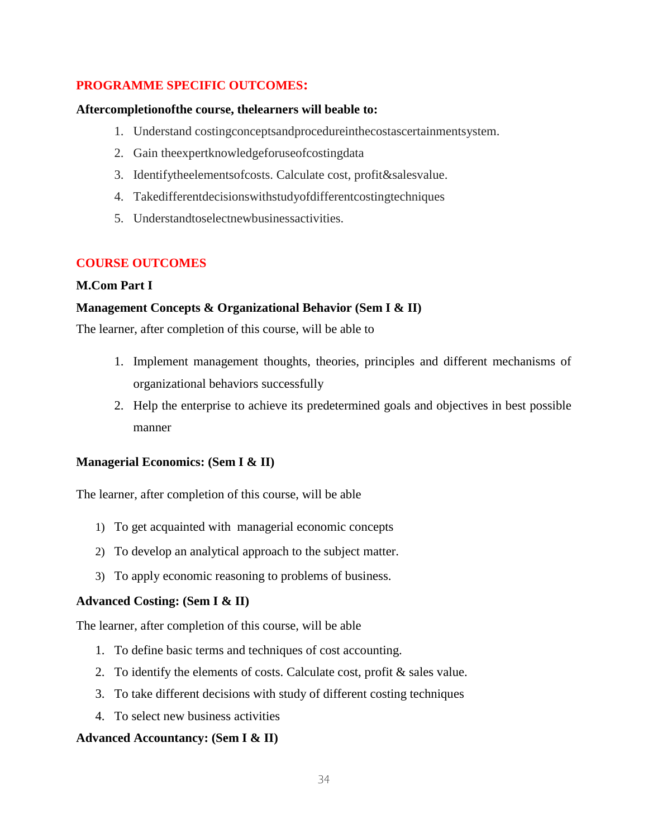## **PROGRAMME SPECIFIC OUTCOMES:**

#### **Aftercompletionofthe course, thelearners will beable to:**

- 1. Understand costingconceptsandprocedureinthecostascertainmentsystem.
- 2. Gain theexpertknowledgeforuseofcostingdata
- 3. Identifytheelementsofcosts. Calculate cost, profit&salesvalue.
- 4. Takedifferentdecisionswithstudyofdifferentcostingtechniques
- 5. Understandtoselectnewbusinessactivities.

## **COURSE OUTCOMES**

## **M.Com Part I**

## **Management Concepts & Organizational Behavior (Sem I & II)**

The learner, after completion of this course, will be able to

- 1. Implement management thoughts, theories, principles and different mechanisms of organizational behaviors successfully
- 2. Help the enterprise to achieve its predetermined goals and objectives in best possible manner

## **Managerial Economics: (Sem I & II)**

The learner, after completion of this course, will be able

- 1) To get acquainted with managerial economic concepts
- 2) To develop an analytical approach to the subject matter.
- 3) To apply economic reasoning to problems of business.

## **Advanced Costing: (Sem I & II)**

The learner, after completion of this course, will be able

- 1. To define basic terms and techniques of cost accounting.
- 2. To identify the elements of costs. Calculate cost, profit & sales value.
- 3. To take different decisions with study of different costing techniques
- 4. To select new business activities

## **Advanced Accountancy: (Sem I & II)**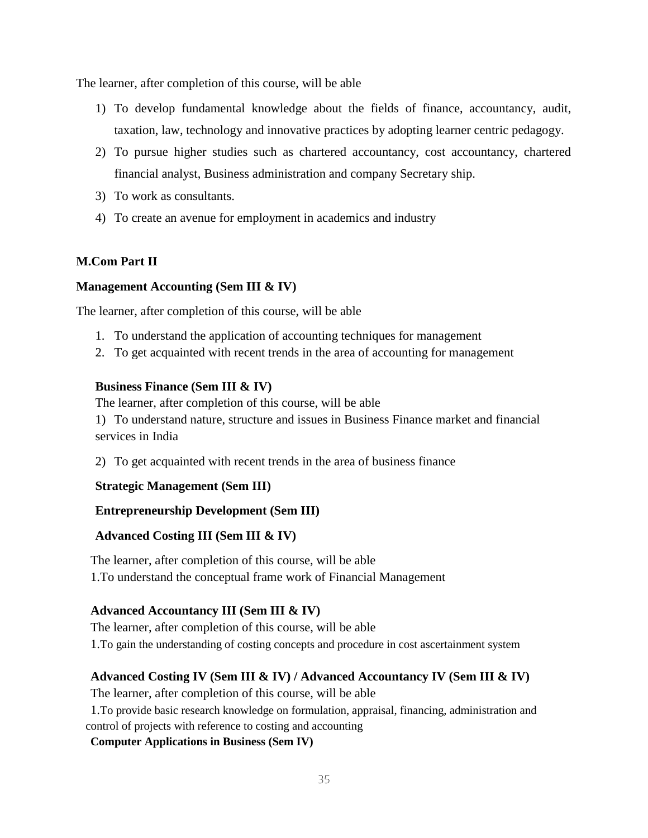The learner, after completion of this course, will be able

- 1) To develop fundamental knowledge about the fields of finance, accountancy, audit, taxation, law, technology and innovative practices by adopting learner centric pedagogy.
- 2) To pursue higher studies such as chartered accountancy, cost accountancy, chartered financial analyst, Business administration and company Secretary ship.
- 3) To work as consultants.
- 4) To create an avenue for employment in academics and industry

## **M.Com Part II**

## **Management Accounting (Sem III & IV)**

The learner, after completion of this course, will be able

- 1. To understand the application of accounting techniques for management
- 2. To get acquainted with recent trends in the area of accounting for management

#### **Business Finance (Sem III & IV)**

The learner, after completion of this course, will be able

1) To understand nature, structure and issues in Business Finance market and financial services in India

2) To get acquainted with recent trends in the area of business finance

## **Strategic Management (Sem III)**

## **Entrepreneurship Development (Sem III)**

## **Advanced Costing III (Sem III & IV)**

The learner, after completion of this course, will be able 1.To understand the conceptual frame work of Financial Management

## **Advanced Accountancy III (Sem III & IV)**

The learner, after completion of this course, will be able 1.To gain the understanding of costing concepts and procedure in cost ascertainment system

## **Advanced Costing IV (Sem III & IV) / Advanced Accountancy IV (Sem III & IV)**

The learner, after completion of this course, will be able

1.To provide basic research knowledge on formulation, appraisal, financing, administration and control of projects with reference to costing and accounting

#### **Computer Applications in Business (Sem IV)**